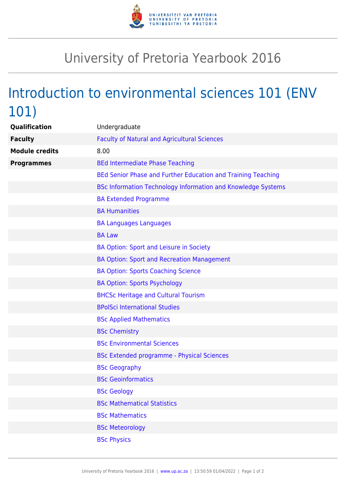

## University of Pretoria Yearbook 2016

## Introduction to environmental sciences 101 (ENV 101)

| Qualification         | Undergraduate                                                |
|-----------------------|--------------------------------------------------------------|
| <b>Faculty</b>        | <b>Faculty of Natural and Agricultural Sciences</b>          |
| <b>Module credits</b> | 8.00                                                         |
| <b>Programmes</b>     | <b>BEd Intermediate Phase Teaching</b>                       |
|                       | BEd Senior Phase and Further Education and Training Teaching |
|                       | BSc Information Technology Information and Knowledge Systems |
|                       | <b>BA Extended Programme</b>                                 |
|                       | <b>BA Humanities</b>                                         |
|                       | <b>BA Languages Languages</b>                                |
|                       | <b>BA Law</b>                                                |
|                       | BA Option: Sport and Leisure in Society                      |
|                       | BA Option: Sport and Recreation Management                   |
|                       | <b>BA Option: Sports Coaching Science</b>                    |
|                       | <b>BA Option: Sports Psychology</b>                          |
|                       | <b>BHCSc Heritage and Cultural Tourism</b>                   |
|                       | <b>BPolSci International Studies</b>                         |
|                       | <b>BSc Applied Mathematics</b>                               |
|                       | <b>BSc Chemistry</b>                                         |
|                       | <b>BSc Environmental Sciences</b>                            |
|                       | <b>BSc Extended programme - Physical Sciences</b>            |
|                       | <b>BSc Geography</b>                                         |
|                       | <b>BSc Geoinformatics</b>                                    |
|                       | <b>BSc Geology</b>                                           |
|                       | <b>BSc Mathematical Statistics</b>                           |
|                       | <b>BSc Mathematics</b>                                       |
|                       | <b>BSc Meteorology</b>                                       |
|                       | <b>BSc Physics</b>                                           |
|                       |                                                              |